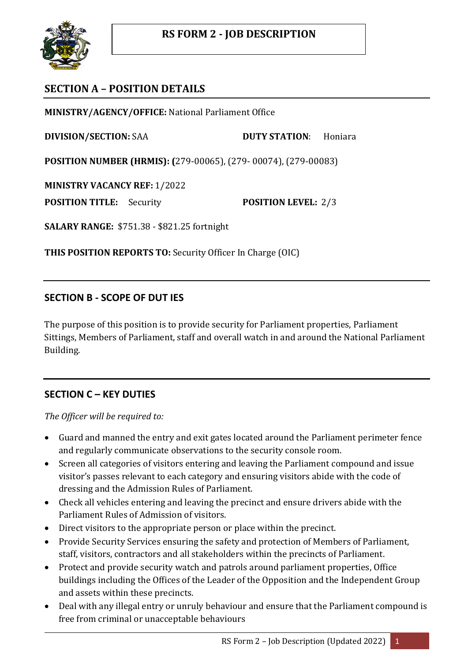

# **SECTION A – POSITION DETAILS**

**MINISTRY/AGENCY/OFFICE:** National Parliament Office

**DIVISION/SECTION:** SAA **DUTY STATION**: Honiara

**POSITION NUMBER (HRMIS): (**279-00065), (279- 00074), (279-00083)

**MINISTRY VACANCY REF:** 1/2022

**POSITION TITLE:** Security **POSITION LEVEL:** 2/3

**SALARY RANGE:** \$751.38 - \$821.25 fortnight

**THIS POSITION REPORTS TO:** Security Officer In Charge (OIC)

### **SECTION B - SCOPE OF DUT IES**

The purpose of this position is to provide security for Parliament properties, Parliament Sittings, Members of Parliament, staff and overall watch in and around the National Parliament Building.

## **SECTION C – KEY DUTIES**

*The Officer will be required to:*

- Guard and manned the entry and exit gates located around the Parliament perimeter fence and regularly communicate observations to the security console room.
- Screen all categories of visitors entering and leaving the Parliament compound and issue visitor's passes relevant to each category and ensuring visitors abide with the code of dressing and the Admission Rules of Parliament.
- Check all vehicles entering and leaving the precinct and ensure drivers abide with the Parliament Rules of Admission of visitors.
- Direct visitors to the appropriate person or place within the precinct.
- Provide Security Services ensuring the safety and protection of Members of Parliament, staff, visitors, contractors and all stakeholders within the precincts of Parliament.
- Protect and provide security watch and patrols around parliament properties, Office buildings including the Offices of the Leader of the Opposition and the Independent Group and assets within these precincts.
- Deal with any illegal entry or unruly behaviour and ensure that the Parliament compound is free from criminal or unacceptable behaviours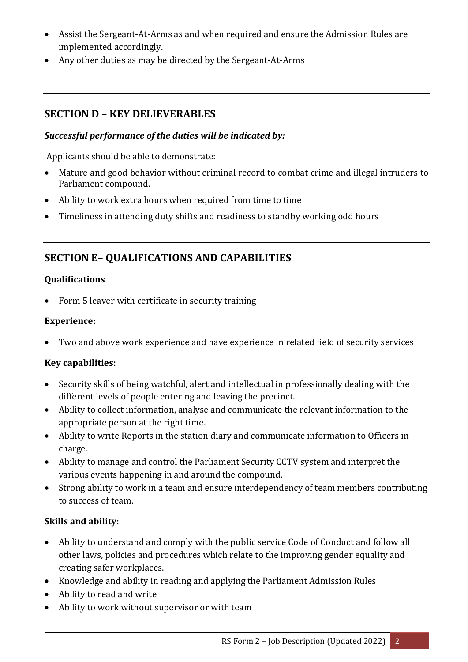- Assist the Sergeant-At-Arms as and when required and ensure the Admission Rules are implemented accordingly.
- Any other duties as may be directed by the Sergeant-At-Arms

## **SECTION D – KEY DELIEVERABLES**

#### *Successful performance of the duties will be indicated by:*

Applicants should be able to demonstrate:

- Mature and good behavior without criminal record to combat crime and illegal intruders to Parliament compound.
- Ability to work extra hours when required from time to time
- Timeliness in attending duty shifts and readiness to standby working odd hours

## **SECTION E– QUALIFICATIONS AND CAPABILITIES**

#### **Qualifications**

• Form 5 leaver with certificate in security training

#### **Experience:**

Two and above work experience and have experience in related field of security services

#### **Key capabilities:**

- Security skills of being watchful, alert and intellectual in professionally dealing with the different levels of people entering and leaving the precinct.
- Ability to collect information, analyse and communicate the relevant information to the appropriate person at the right time.
- Ability to write Reports in the station diary and communicate information to Officers in charge.
- Ability to manage and control the Parliament Security CCTV system and interpret the various events happening in and around the compound.
- Strong ability to work in a team and ensure interdependency of team members contributing to success of team.

#### **Skills and ability:**

- Ability to understand and comply with the public service Code of Conduct and follow all other laws, policies and procedures which relate to the improving gender equality and creating safer workplaces.
- Knowledge and ability in reading and applying the Parliament Admission Rules
- Ability to read and write
- Ability to work without supervisor or with team